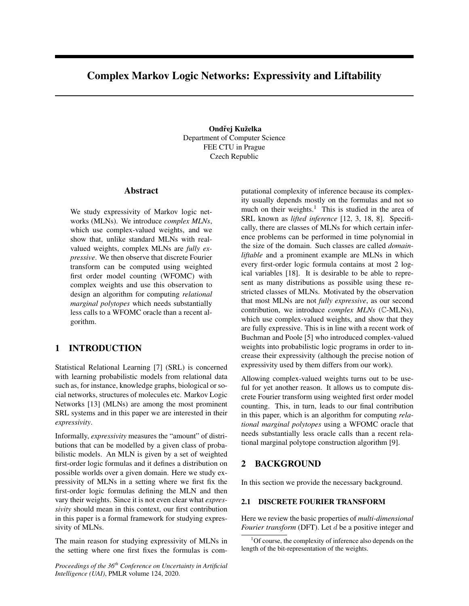# Complex Markov Logic Networks: Expressivity and Liftability

Ondřej Kuželka Department of Computer Science FEE CTU in Prague Czech Republic

# Abstract

We study expressivity of Markov logic networks (MLNs). We introduce *complex MLNs*, which use complex-valued weights, and we show that, unlike standard MLNs with realvalued weights, complex MLNs are *fully expressive*. We then observe that discrete Fourier transform can be computed using weighted first order model counting (WFOMC) with complex weights and use this observation to design an algorithm for computing *relational marginal polytopes* which needs substantially less calls to a WFOMC oracle than a recent algorithm.

# 1 INTRODUCTION

Statistical Relational Learning [7] (SRL) is concerned with learning probabilistic models from relational data such as, for instance, knowledge graphs, biological or social networks, structures of molecules etc. Markov Logic Networks [13] (MLNs) are among the most prominent SRL systems and in this paper we are interested in their *expressivity*.

Informally, *expressivity* measures the "amount" of distributions that can be modelled by a given class of probabilistic models. An MLN is given by a set of weighted first-order logic formulas and it defines a distribution on possible worlds over a given domain. Here we study expressivity of MLNs in a setting where we first fix the first-order logic formulas defining the MLN and then vary their weights. Since it is not even clear what *expressivity* should mean in this context, our first contribution in this paper is a formal framework for studying expressivity of MLNs.

The main reason for studying expressivity of MLNs in the setting where one first fixes the formulas is com-

*Proceedings of the 36th Conference on Uncertainty in Artificial Intelligence (UAI)*, PMLR volume 124, 2020.

putational complexity of inference because its complexity usually depends mostly on the formulas and not so much on their weights.<sup>1</sup> This is studied in the area of SRL known as *lifted inference* [12, 3, 18, 8]. Specifically, there are classes of MLNs for which certain inference problems can be performed in time polynomial in the size of the domain. Such classes are called *domainliftable* and a prominent example are MLNs in which every first-order logic formula contains at most 2 logical variables [18]. It is desirable to be able to represent as many distributions as possible using these restricted classes of MLNs. Motivated by the observation that most MLNs are not *fully expressive*, as our second contribution, we introduce *complex MLNs* (C-MLNs), which use complex-valued weights, and show that they are fully expressive. This is in line with a recent work of Buchman and Poole [5] who introduced complex-valued weights into probabilistic logic programs in order to increase their expressivity (although the precise notion of expressivity used by them differs from our work).

Allowing complex-valued weights turns out to be useful for yet another reason. It allows us to compute discrete Fourier transform using weighted first order model counting. This, in turn, leads to our final contribution in this paper, which is an algorithm for computing *relational marginal polytopes* using a WFOMC oracle that needs substantially less oracle calls than a recent relational marginal polytope construction algorithm [9].

# 2 BACKGROUND

In this section we provide the necessary background.

# 2.1 DISCRETE FOURIER TRANSFORM

Here we review the basic properties of *multi-dimensional Fourier transform* (DFT). Let d be a positive integer and

<sup>1</sup>Of course, the complexity of inference also depends on the length of the bit-representation of the weights.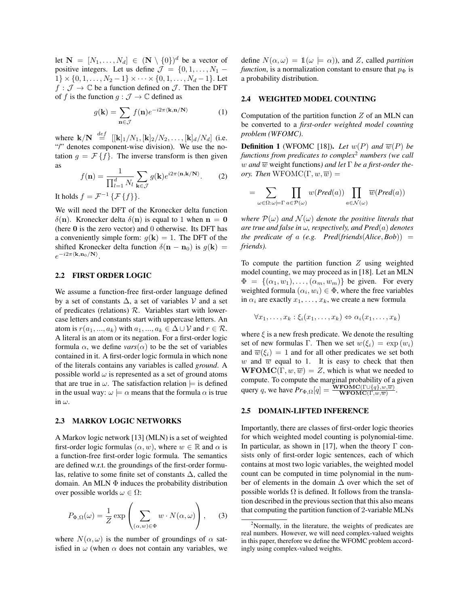let  $\mathbf{N} = [N_1, \dots, N_d] \in (\mathbf{N} \setminus \{0\})^d$  be a vector of positive integers. Let us define  $\mathcal{J} = \{0, 1, \ldots, N_1 - \}$  $1\} \times \{0, 1, \ldots, N_2 - 1\} \times \cdots \times \{0, 1, \ldots, N_d - 1\}.$  Let  $f : \mathcal{J} \to \mathbb{C}$  be a function defined on  $\mathcal{J}$ . Then the DFT of f is the function  $g : \mathcal{J} \to \mathbb{C}$  defined as

$$
g(\mathbf{k}) = \sum_{\mathbf{n} \in \mathcal{J}} f(\mathbf{n}) e^{-i2\pi \langle \mathbf{k}, \mathbf{n}/\mathbf{N} \rangle} \tag{1}
$$

where  ${\bf k}/{\bf N} \stackrel{def}{=} [[{\bf k}]_1/N_1, [{\bf k}]_2/N_2, \ldots, [{\bf k}]_d/N_d]$  (i.e. "/" denotes component-wise division). We use the notation  $g = \mathcal{F}{f}$ . The inverse transform is then given as

$$
f(\mathbf{n}) = \frac{1}{\prod_{l=1}^{d} N_l} \sum_{\mathbf{k} \in \mathcal{J}} g(\mathbf{k}) e^{i2\pi \langle \mathbf{n}, \mathbf{k}/\mathbf{N} \rangle}.
$$
 (2)

It holds  $f = \mathcal{F}^{-1} \{ \mathcal{F} \{ f \} \}.$ 

We will need the DFT of the Kronecker delta function  $\delta(n)$ . Kronecker delta  $\delta(n)$  is equal to 1 when  $n = 0$ (here  $\theta$  is the zero vector) and  $\theta$  otherwise. Its DFT has a conveniently simple form:  $q(\mathbf{k}) = 1$ . The DFT of the shifted Kronecker delta function  $\delta(\mathbf{n} - \mathbf{n}_0)$  is  $g(\mathbf{k}) =$  $e^{-i2\pi\langle{\bf k},{\bf n}_0/{\bf N}\rangle}.$ 

### 2.2 FIRST ORDER LOGIC

We assume a function-free first-order language defined by a set of constants  $\Delta$ , a set of variables V and a set of predicates (relations)  $R$ . Variables start with lowercase letters and constants start with uppercase letters. An atom is  $r(a_1, ..., a_k)$  with  $a_1, ..., a_k \in \Delta \cup \mathcal{V}$  and  $r \in \mathcal{R}$ . A literal is an atom or its negation. For a first-order logic formula  $\alpha$ , we define *vars*( $\alpha$ ) to be the set of variables contained in it. A first-order logic formula in which none of the literals contains any variables is called *ground*. A possible world  $\omega$  is represented as a set of ground atoms that are true in  $\omega$ . The satisfaction relation  $\models$  is defined in the usual way:  $\omega \models \alpha$  means that the formula  $\alpha$  is true in  $\omega$ .

### 2.3 MARKOV LOGIC NETWORKS

A Markov logic network [13] (MLN) is a set of weighted first-order logic formulas  $(\alpha, w)$ , where  $w \in \mathbb{R}$  and  $\alpha$  is a function-free first-order logic formula. The semantics are defined w.r.t. the groundings of the first-order formulas, relative to some finite set of constants ∆, called the domain. An MLN  $\Phi$  induces the probability distribution over possible worlds  $\omega \in \Omega$ :

$$
P_{\Phi,\Omega}(\omega) = \frac{1}{Z} \exp\left(\sum_{(\alpha,w)\in\Phi} w \cdot N(\alpha,\omega)\right),\tag{3}
$$

where  $N(\alpha, \omega)$  is the number of groundings of  $\alpha$  satisfied in  $\omega$  (when  $\alpha$  does not contain any variables, we define  $N(\alpha,\omega) = 1(\omega \models \alpha)$ , and Z, called *partition function*, is a normalization constant to ensure that  $p_{\Phi}$  is a probability distribution.

### 2.4 WEIGHTED MODEL COUNTING

Computation of the partition function  $Z$  of an MLN can be converted to a *first-order weighted model counting problem (WFOMC)*.

**Definition 1** (WFOMC [18]). Let  $w(P)$  and  $\overline{w}(P)$  be *functions from predicates to complex*<sup>2</sup> *numbers (we call w* and  $\overline{w}$  weight functions) and let Γ be a first-order the*ory. Then*  $WFOMC(\Gamma, w, \overline{w}) =$ 

$$
=\sum_{\omega\in\Omega:\omega\models\Gamma}\prod_{a\in\mathcal{P}(\omega)}w(Pred(a))\prod_{a\in\mathcal{N}(\omega)}\overline{w}(Pred(a))
$$

*where*  $\mathcal{P}(\omega)$  *and*  $\mathcal{N}(\omega)$  *denote the positive literals that are true and false in* ω*, respectively, and Pred*(a) *denotes the predicate of a (e.g. Pred(friends(Alice, Bob))* = *friends).*

To compute the partition function  $Z$  using weighted model counting, we may proceed as in [18]. Let an MLN  $\Phi = \{(\alpha_1, w_1), \ldots, (\alpha_m, w_m)\}\$ be given. For every weighted formula  $(\alpha_i, w_i) \in \Phi$ , where the free variables in  $\alpha_i$  are exactly  $x_1, \ldots, x_k$ , we create a new formula

$$
\forall x_1, \ldots, x_k : \xi_i(x_1, \ldots, x_k) \Leftrightarrow \alpha_i(x_1, \ldots, x_k)
$$

where  $\xi$  is a new fresh predicate. We denote the resulting set of new formulas Γ. Then we set  $w(\xi_i) = \exp(w_i)$ and  $\overline{w}(\xi_i) = 1$  and for all other predicates we set both w and  $\overline{w}$  equal to 1. It is easy to check that then **WFOMC**(Γ,  $w$ ,  $\overline{w}$ ) = Z, which is what we needed to compute. To compute the marginal probability of a given query q, we have  $Pr_{\Phi,\Omega}[q] = \frac{\textbf{WFOMC}(\Gamma \cup \{q\}, w, \overline{w})}{\textbf{WFOMC}(\Gamma, w, \overline{w})}.$ 

### 2.5 DOMAIN-LIFTED INFERENCE

Importantly, there are classes of first-order logic theories for which weighted model counting is polynomial-time. In particular, as shown in [17], when the theory  $\Gamma$  consists only of first-order logic sentences, each of which contains at most two logic variables, the weighted model count can be computed in time polynomial in the number of elements in the domain  $\Delta$  over which the set of possible worlds  $\Omega$  is defined. It follows from the translation described in the previous section that this also means that computing the partition function of 2-variable MLNs

<sup>2</sup>Normally, in the literature, the weights of predicates are real numbers. However, we will need complex-valued weights in this paper, therefore we define the WFOMC problem accordingly using complex-valued weights.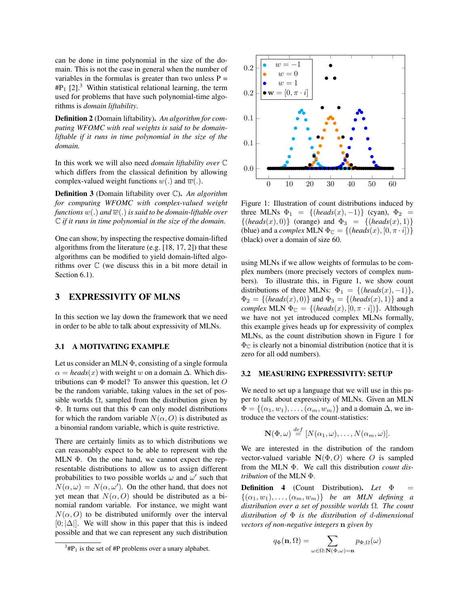can be done in time polynomial in the size of the domain. This is not the case in general when the number of variables in the formulas is greater than two unless  $P =$  $#P_1$  [2].<sup>3</sup> Within statistical relational learning, the term used for problems that have such polynomial-time algorithms is *domain liftability*.

Definition 2 (Domain liftability). *An algorithm for computing WFOMC with real weights is said to be domainliftable if it runs in time polynomial in the size of the domain.*

In this work we will also need *domain liftability over* C which differs from the classical definition by allowing complex-valued weight functions  $w(.)$  and  $\overline{w}(.)$ .

Definition 3 (Domain liftability over C). *An algorithm for computing WFOMC with complex-valued weight functions*  $w(.)$  *and*  $\overline{w}(.)$  *is said to be domain-liftable over* C *if it runs in time polynomial in the size of the domain.*

One can show, by inspecting the respective domain-lifted algorithms from the literature (e.g. [18, 17, 2]) that these algorithms can be modified to yield domain-lifted algorithms over C (we discuss this in a bit more detail in Section 6.1).

# 3 EXPRESSIVITY OF MLNS

In this section we lay down the framework that we need in order to be able to talk about expressivity of MLNs.

### 3.1 A MOTIVATING EXAMPLE

Let us consider an MLN  $\Phi$ , consisting of a single formula  $\alpha =$  *heads*(x) with weight w on a domain  $\Delta$ . Which distributions can  $\Phi$  model? To answer this question, let O be the random variable, taking values in the set of possible worlds  $\Omega$ , sampled from the distribution given by Φ. It turns out that this Φ can only model distributions for which the random variable  $N(\alpha, 0)$  is distributed as a binomial random variable, which is quite restrictive.

There are certainly limits as to which distributions we can reasonably expect to be able to represent with the MLN  $\Phi$ . On the one hand, we cannot expect the representable distributions to allow us to assign different probabilities to two possible worlds  $\omega$  and  $\omega'$  such that  $N(\alpha,\omega) = N(\alpha,\omega')$ . On the other hand, that does not yet mean that  $N(\alpha, 0)$  should be distributed as a binomial random variable. For instance, we might want  $N(\alpha, 0)$  to be distributed uniformly over the interval  $[0; |\Delta|]$ . We will show in this paper that this is indeed possible and that we can represent any such distribution



Figure 1: Illustration of count distributions induced by three MLNs  $\Phi_1 = \{ (heads(x), -1) \}$  (cyan),  $\Phi_2 =$  $\{(heads(x), 0)\}$  (orange) and  $\Phi_3 = \{(heads(x), 1)\}$ (blue) and a *complex* MLN  $\Phi_{\mathbb{C}} = \{(\text{heads}(x), [0, \pi \cdot i])\}$ (black) over a domain of size 60.

using MLNs if we allow weights of formulas to be complex numbers (more precisely vectors of complex numbers). To illustrate this, in Figure 1, we show count distributions of three MLNs:  $\Phi_1 = \{ (heads(x), -1) \},\$  $\Phi_2 = \{ (heads(x), 0) \}$  and  $\Phi_3 = \{ (heads(x), 1) \}$  and a *complex* MLN  $\Phi_{\mathbb{C}} = \{ (heads(x), [0, \pi \cdot i]) \}$ . Although we have not yet introduced complex MLNs formally, this example gives heads up for expressivity of complex MLNs, as the count distribution shown in Figure 1 for  $\Phi_{\mathbb{C}}$  is clearly not a binomial distribution (notice that it is zero for all odd numbers).

#### 3.2 MEASURING EXPRESSIVITY: SETUP

We need to set up a language that we will use in this paper to talk about expressivity of MLNs. Given an MLN  $\Phi = \{(\alpha_1, w_1), \ldots, (\alpha_m, w_m)\}\$ and a domain  $\Delta$ , we introduce the vectors of the count-statistics:

$$
\mathbf{N}(\Phi,\omega) \stackrel{def}{=} [N(\alpha_1,\omega),\ldots,N(\alpha_m,\omega)].
$$

We are interested in the distribution of the random vector-valued variable  $N(\Phi, O)$  where O is sampled from the MLN Φ. We call this distribution *count distribution* of the MLN Φ.

Definition 4 (Count Distribution). *Let* Φ =  $\{(\alpha_1, w_1), \ldots, (\alpha_m, w_m)\}\$  *be an MLN defining a distribution over a set of possible worlds* Ω*. The count distribution of* Φ *is the distribution of* d*-dimensional vectors of non-negative integers* n *given by*

$$
q_{\Phi}(\mathbf{n},\Omega) = \sum_{\omega \in \Omega : \mathbf{N}(\Phi,\omega) = \mathbf{n}} p_{\Phi,\Omega}(\omega)
$$

 $3\text{H}P_1$  is the set of  $\text{H}P_1$  problems over a unary alphabet.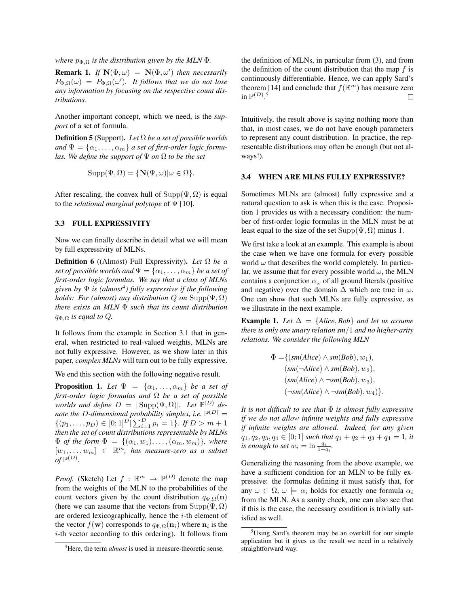*where*  $p_{\Phi,\Omega}$  *is the distribution given by the MLN*  $\Phi$ *.* 

**Remark 1.** If  $N(\Phi, \omega) = N(\Phi, \omega')$  then necessarily  $P_{\Phi,\Omega}(\omega) = P_{\Phi,\Omega}(\omega')$ *. It follows that we do not lose any information by focusing on the respective count distributions.*

Another important concept, which we need, is the *support* of a set of formula.

Definition 5 (Support). *Let* Ω *be a set of possible worlds* and  $\Psi = {\alpha_1, \ldots, \alpha_m}$  *a set of first-order logic formulas. We define the support of* Ψ *on* Ω *to be the set*

$$
Supp(\Psi,\Omega) = \{ \mathbf{N}(\Psi,\omega) | \omega \in \Omega \}.
$$

After rescaling, the convex hull of  $\text{Supp}(\Psi, \Omega)$  is equal to the *relational marginal polytope* of Ψ [10].

#### 3.3 FULL EXPRESSIVITY

Now we can finally describe in detail what we will mean by full expressivity of MLNs.

Definition 6 ((Almost) Full Expressivity). *Let* Ω *be a set of possible worlds and*  $\Psi = {\alpha_1, \ldots, \alpha_m}$  *be a set of first-order logic formulas. We say that a class of MLNs given by* Ψ *is (almost*<sup>4</sup> *) fully expressive if the following holds: For (almost) any distribution Q on* Supp $(\Psi, \Omega)$ *there exists an MLN* Φ *such that its count distribution*  $q_{\Phi,\Omega}$  *is equal to Q.* 

It follows from the example in Section 3.1 that in general, when restricted to real-valued weights, MLNs are not fully expressive. However, as we show later in this paper, *complex MLNs* will turn out to be fully expressive.

We end this section with the following negative result.

**Proposition 1.** Let  $\Psi = {\alpha_1, \ldots, \alpha_m}$  be a set of *first-order logic formulas and* Ω *be a set of possible worlds and define*  $D = |\text{Supp}(\Psi,\Omega)|$ *. Let*  $\mathbb{P}^{(D)}$  *de*note the D-dimensional probability simplex, *i.e.*  $\mathbb{P}^{(D)}$  =  $\{(p_1, \ldots, p_D) \in [0,1]^D | \sum_{i=1}^D p_i = 1\}.$  If  $D > m + 1$ *then the set of count distributions representable by MLNs*  $\Phi$  *of the form*  $\Phi = \{(\alpha_1, w_1), \ldots, (\alpha_m, w_m)\}\$ , where  $[w_1, \ldots, w_m] \in \mathbb{R}^m$ , has measure-zero as a subset  $\sigma f \mathbb{P}^{(D)}$ .

*Proof.* (Sketch) Let  $f : \mathbb{R}^m \to \mathbb{P}^{(D)}$  denote the map from the weights of the MLN to the probabilities of the count vectors given by the count distribution  $q_{\Phi,\Omega}(\mathbf{n})$ (here we can assume that the vectors from  $\text{Supp}(\Psi,\Omega)$ ) are ordered lexicographically, hence the  $i$ -th element of the vector  $f(\mathbf{w})$  corresponds to  $q_{\Phi,\Omega}(\mathbf{n}_i)$  where  $\mathbf{n}_i$  is the i-th vector according to this ordering). It follows from the definition of MLNs, in particular from (3), and from the definition of the count distribution that the map  $f$  is continuously differentiable. Hence, we can apply Sard's theorem [14] and conclude that  $f(\mathbb{R}^m)$  has measure zero in  $\mathbb{P}^{(D)}$ .<sup>5</sup>  $\Box$ 

Intuitively, the result above is saying nothing more than that, in most cases, we do not have enough parameters to represent any count distribution. In practice, the representable distributions may often be enough (but not always!).

### 3.4 WHEN ARE MLNS FULLY EXPRESSIVE?

Sometimes MLNs are (almost) fully expressive and a natural question to ask is when this is the case. Proposition 1 provides us with a necessary condition: the number of first-order logic formulas in the MLN must be at least equal to the size of the set  $\text{Supp}(\Psi, \Omega)$  minus 1.

We first take a look at an example. This example is about the case when we have one formula for every possible world  $\omega$  that describes the world completely. In particular, we assume that for every possible world  $\omega$ , the MLN contains a conjunction  $\alpha_{\omega}$  of all ground literals (positive and negative) over the domain  $\Delta$  which are true in  $\omega$ . One can show that such MLNs are fully expressive, as we illustrate in the next example.

**Example 1.** *Let*  $\Delta = \{Alice, Bob\}$  *and let us assume there is only one unary relation sm*/1 *and no higher-arity relations. We consider the following MLN*

$$
\Phi = \{ (sm(Alice) \land sm(Bob), w_1), (sm(\neg Alice) \land sm(Bob), w_2), (sm(Alice) \land \neg sm(Bob), w_3), (~\neg sm(Alice) \land \neg sm(Bob), w_4) \}.
$$

*It is not difficult to see that* Φ *is almost fully expressive if we do not allow infinite weights and fully expressive if infinite weights are allowed. Indeed, for any given*  $q_1, q_2, q_3, q_4 \in [0; 1]$  *such that*  $q_1 + q_2 + q_3 + q_4 = 1$ *, it is enough to set*  $w_i = \ln \frac{q_i}{1-q_i}$ .

Generalizing the reasoning from the above example, we have a sufficient condition for an MLN to be fully expressive: the formulas defining it must satisfy that, for any  $\omega \in \Omega$ ,  $\omega \models \alpha_i$  holds for exactly one formula  $\alpha_i$ from the MLN. As a sanity check, one can also see that if this is the case, the necessary condition is trivially satisfied as well.

<sup>&</sup>lt;sup>4</sup>Here, the term *almost* is used in measure-theoretic sense.

<sup>5</sup>Using Sard's theorem may be an overkill for our simple application but it gives us the result we need in a relatively straightforward way.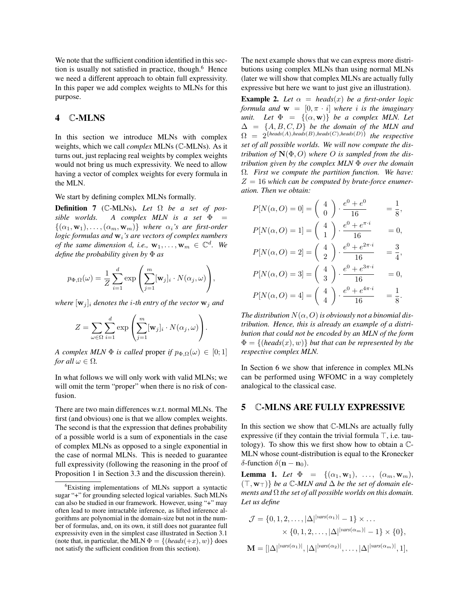We note that the sufficient condition identified in this section is usually not satisfied in practice, though.<sup>6</sup> Hence we need a different approach to obtain full expressivity. In this paper we add complex weights to MLNs for this purpose.

# 4 C-MLNS

In this section we introduce MLNs with complex weights, which we call *complex* MLNs (C-MLNs). As it turns out, just replacing real weights by complex weights would not bring us much expressivity. We need to allow having a vector of complex weights for every formula in the MLN.

We start by defining complex MLNs formally.

Definition 7 (C-MLNs). *Let* Ω *be a set of possible worlds. A complex MLN is a set* Φ =  $\{(\alpha_1, \mathbf{w}_1), \ldots, (\alpha_m, \mathbf{w}_m)\}$  where  $\alpha_i$ 's are first-order *logic formulas and*  $w_i$ *'s are vectors of complex numbers of the same dimension d, i.e.,*  $w_1, \ldots, w_m \in \mathbb{C}^d$ . We *define the probability given by* Φ *as*

$$
p_{\Phi,\Omega}(\omega) = \frac{1}{Z} \sum_{i=1}^d \exp \left( \sum_{j=1}^m [\mathbf{w}_j]_i \cdot N(\alpha_j,\omega) \right),
$$

*where*  $[\mathbf{w}_j]_i$  *denotes the i-th entry of the vector*  $\mathbf{w}_j$  *and* 

$$
Z = \sum_{\omega \in \Omega} \sum_{i=1}^{d} \exp \left( \sum_{j=1}^{m} [\mathbf{w}_{j}]_{i} \cdot N(\alpha_{j}, \omega) \right).
$$

*A complex MLN*  $\Phi$  *is called* proper *if*  $p_{\Phi,\Omega}(\omega) \in [0,1]$ *for all*  $\omega \in \Omega$ *.* 

In what follows we will only work with valid MLNs; we will omit the term "proper" when there is no risk of confusion.

There are two main differences w.r.t. normal MLNs. The first (and obvious) one is that we allow complex weights. The second is that the expression that defines probability of a possible world is a sum of exponentials in the case of complex MLNs as opposed to a single exponential in the case of normal MLNs. This is needed to guarantee full expressivity (following the reasoning in the proof of Proposition 1 in Section 3.3 and the discussion therein).

The next example shows that we can express more distributions using complex MLNs than using normal MLNs (later we will show that complex MLNs are actually fully expressive but here we want to just give an illustration).

**Example 2.** Let  $\alpha$  = heads(x) be a first-order logic *formula and*  $\mathbf{w} = [0, \pi \cdot i]$  *where i is the imaginary unit.* Let  $\Phi = \{(\alpha, \mathbf{w})\}$  *be a complex MLN. Let*  $\Delta = \{A, B, C, D\}$  *be the domain of the MLN and*  $\Omega = 2^{\{heads(A),heads(B),heads(C),heads(D)\}}$  the respective *set of all possible worlds. We will now compute the distribution of*  $N(\Phi, O)$  *where* O *is sampled from the distribution given by the complex MLN* Φ *over the domain* Ω*. First we compute the partition function. We have:* Z = 16 *which can be computed by brute-force enumeration. Then we obtain:*

$$
P[N(\alpha, O) = 0] = \begin{pmatrix} 4 \\ 0 \end{pmatrix} \cdot \frac{e^0 + e^0}{16} = \frac{1}{8},
$$
  
\n
$$
P[N(\alpha, O) = 1] = \begin{pmatrix} 4 \\ 1 \end{pmatrix} \cdot \frac{e^0 + e^{\pi \cdot i}}{16} = 0,
$$
  
\n
$$
P[N(\alpha, O) = 2] = \begin{pmatrix} 4 \\ 2 \end{pmatrix} \cdot \frac{e^0 + e^{2\pi \cdot i}}{16} = \frac{3}{4},
$$
  
\n
$$
P[N(\alpha, O) = 3] = \begin{pmatrix} 4 \\ 3 \end{pmatrix} \cdot \frac{e^0 + e^{3\pi \cdot i}}{16} = 0,
$$
  
\n
$$
P[N(\alpha, O) = 4] = \begin{pmatrix} 4 \\ 4 \end{pmatrix} \cdot \frac{e^0 + e^{4\pi \cdot i}}{16} = \frac{1}{8}.
$$

The distribution  $N(\alpha, O)$  is obviously not a binomial dis*tribution. Hence, this is already an example of a distribution that could not be encoded by an MLN of the form*  $\Phi = \{(\text{heads}(x), w)\}\$ but that can be represented by the *respective complex MLN.*

In Section 6 we show that inference in complex MLNs can be performed using WFOMC in a way completely analogical to the classical case.

### 5 C-MLNS ARE FULLY EXPRESSIVE

In this section we show that C-MLNs are actually fully expressive (if they contain the trivial formula  $\top$ , i.e. tautology). To show this we first show how to obtain a C-MLN whose count-distribution is equal to the Kronecker δ-function  $\delta$ (**n** – **n**<sub>0</sub>).

**Lemma 1.** Let  $\Phi = \{(\alpha_1, \mathbf{w}_1), \ldots, (\alpha_m, \mathbf{w}_m)\}$  $(T, w_T)$  *be a*  $\mathbb{C}$ -MLN and  $\Delta$  *be the set of domain elements and* Ω *the set of all possible worlds on this domain. Let us define*

$$
\mathcal{J} = \{0, 1, 2, \dots, |\Delta|^{|vars(\alpha_1)|} - 1\} \times \dots
$$

$$
\times \{0, 1, 2, \dots, |\Delta|^{|vars(\alpha_m)|} - 1\} \times \{0\},
$$

$$
\mathbf{M} = [|\Delta|^{|vars(\alpha_1)|}, |\Delta|^{|vars(\alpha_2)|}, \dots, |\Delta|^{|vars(\alpha_m)|}, 1],
$$

<sup>6</sup>Existing implementations of MLNs support a syntactic sugar "+" for grounding selected logical variables. Such MLNs can also be studied in our framework. However, using "+" may often lead to more intractable inference, as lifted inference algorithms are polynomial in the domain-size but not in the number of formulas, and, on its own, it still does not guarantee full expressivity even in the simplest case illustrated in Section 3.1 (note that, in particular, the MLN  $\Phi = \{(\text{heads}(+x), w)\}\$ does not satisfy the sufficient condition from this section).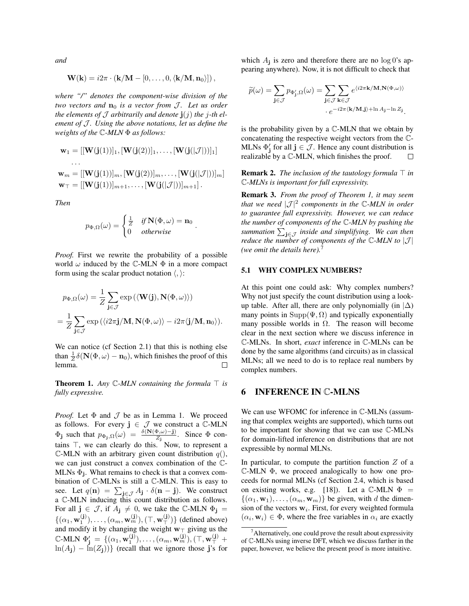*and*

$$
\mathbf{W}(\mathbf{k}) = i2\pi \cdot (\mathbf{k}/\mathbf{M} - [0,\ldots,0,\langle \mathbf{k}/\mathbf{M},\mathbf{n}_0 \rangle]),
$$

*where "/" denotes the component-wise division of the two vectors and*  $n_0$  *is a vector from J. Let us order the elements of*  $J$  *arbitrarily and denote*  $\mathbf{j}(j)$  *the j*-*th element of J. Using the above notations, let us define the weights of the* C*-MLN* Φ *as follows:*

$$
\mathbf{w}_1 = [[\mathbf{W}(\mathbf{j}(1))]_1, [\mathbf{W}(\mathbf{j}(2))]_1, \dots, [\mathbf{W}(\mathbf{j}(|\mathcal{J}|))]_1]
$$
  
...  

$$
\mathbf{w}_m = [[\mathbf{W}(\mathbf{j}(1))]_m, [\mathbf{W}(\mathbf{j}(2))]_m, \dots, [\mathbf{W}(\mathbf{j}(|\mathcal{J}|))]_m]
$$
  

$$
\mathbf{w}_T = [[\mathbf{W}(\mathbf{j}(1))]_{m+1}, \dots, [\mathbf{W}(\mathbf{j}(|\mathcal{J}|))]_{m+1}].
$$

*Then*

$$
p_{\Phi,\Omega}(\omega) = \begin{cases} \frac{1}{Z} & \text{if } \mathbf{N}(\Phi,\omega) = \mathbf{n}_0 \\ 0 & \text{otherwise} \end{cases}
$$

.

*Proof.* First we rewrite the probability of a possible world  $\omega$  induced by the C-MLN  $\Phi$  in a more compact form using the scalar product notation  $\langle , \rangle$ :

$$
p_{\Phi,\Omega}(\omega) = \frac{1}{Z} \sum_{\mathbf{j} \in \mathcal{J}} \exp \left( \langle \mathbf{W}(\mathbf{j}), \mathbf{N}(\Phi, \omega) \rangle \right)
$$
  
= 
$$
\frac{1}{Z} \sum_{\mathbf{j} \in \mathcal{J}} \exp \left( \langle i2\pi \mathbf{j}/\mathbf{M}, \mathbf{N}(\Phi, \omega) \rangle - i2\pi \langle \mathbf{j}/\mathbf{M}, \mathbf{n}_0 \rangle \right).
$$

We can notice (cf Section 2.1) that this is nothing else than  $\frac{1}{Z}\delta(\mathbf{N}(\Phi,\omega)-\mathbf{n}_0)$ , which finishes the proof of this lemma.

**Theorem 1.** Any  $\mathbb{C}\text{-}MLN$  containing the formula  $\top$  is *fully expressive.*

*Proof.* Let  $\Phi$  and  $\mathcal J$  be as in Lemma 1. We proceed as follows. For every  $j \in \mathcal{J}$  we construct a  $\mathbb{C}\text{-MLN}$  $\Phi_{j}$  such that  $p_{\Phi_{j},\Omega}(\omega) = \frac{\delta(N(\Phi,\omega)-j)}{Z_{j}}$ . Since  $\Phi$  contains  $\top$ , we can clearly do this. Now, to represent a C-MLN with an arbitrary given count distribution  $q()$ , we can just construct a convex combination of the C-MLNs  $\Phi_j$ . What remains to check is that a convex combination of C-MLNs is still a C-MLN. This is easy to see. Let  $q(\mathbf{n}) = \sum_{\mathbf{j} \in \mathcal{J}} A_{\mathbf{j}} \cdot \delta(\mathbf{n} - \mathbf{j})$ . We construct a C-MLN inducing this count distribution as follows. For all  $\mathbf{j} \in \mathcal{J}$ , if  $A_{\mathbf{j}} \neq 0$ , we take the C-MLN  $\Phi_{\mathbf{j}} =$  $\{(\alpha_1, \mathbf{w}_1^{(\mathbf{j})}), \ldots, (\alpha_m, \mathbf{w}_m^{(\mathbf{j})}), (\top, \mathbf{w}_T^{(\mathbf{j})})\}$  (defined above) and modify it by changing the weight  $w_{\top}$  giving us the  $\mathbb{C}\text{-MLN }\Phi'_{\mathbf{j}} \ = \ \{(\alpha_1,\mathbf{w}^{(\mathbf{j})}_1),\ldots,(\alpha_m,\mathbf{w}^{(\mathbf{j})}_m), (\top,\mathbf{w}^{(\mathbf{j})}_T + \top) \}$  $\ln(A_i) - \ln(Z_i)$ } (recall that we ignore those j's for

which  $A_j$  is zero and therefore there are no  $\log 0$ 's appearing anywhere). Now, it is not difficult to check that

$$
\widetilde{p}(\omega) = \sum_{\mathbf{j} \in \mathcal{J}} p_{\Phi'_{\mathbf{j}}, \Omega}(\omega) = \sum_{\mathbf{j} \in \mathcal{J}} \sum_{\mathbf{k} \in \mathcal{J}} e^{\langle i 2 \pi \mathbf{k} / \mathbf{M}, \mathbf{N}(\Phi, \omega) \rangle} \\ \cdot e^{-i 2 \pi \langle \mathbf{k} / \mathbf{M}, \mathbf{j} \rangle + \ln A_{\mathbf{j}} - \ln Z_{\mathbf{j}}}.
$$

is the probability given by a C-MLN that we obtain by concatenating the respective weight vectors from the C-MLNs  $\Phi'_{j}$  for all  $j \in \mathcal{J}$ . Hence any count distribution is realizable by a C-MLN, which finishes the proof. □

**Remark 2.** *The inclusion of the tautology formula*  $\top$  *in* C*-MLNs is important for full expressivity.*

Remark 3. *From the proof of Theorem 1, it may seem* that we need  $|\mathcal{J}|^2$  components in the C-MLN in order *to guarantee full expressivity. However, we can reduce the number of components of the* C*-MLN by pushing the* summation  $\sum_{\mathbf{j} \in \mathcal{J}}$  *inside and simplifying. We can then reduce the number of components of the*  $\mathbb{C}\text{-}MLN$  to  $|\mathcal{J}|$ *(we omit the details here).*<sup>7</sup>

#### 5.1 WHY COMPLEX NUMBERS?

At this point one could ask: Why complex numbers? Why not just specify the count distribution using a lookup table. After all, there are only polynomially (in  $|\Delta\rangle$ ) many points in  $\text{Supp}(\Psi, \Omega)$  and typically exponentially many possible worlds in  $\Omega$ . The reason will become clear in the next section where we discuss inference in C-MLNs. In short, *exact* inference in C-MLNs can be done by the same algorithms (and circuits) as in classical MLNs; all we need to do is to replace real numbers by complex numbers.

# 6 INFERENCE IN C-MLNS

We can use WFOMC for inference in  $\mathbb{C}\text{-MLNs}$  (assuming that complex weights are supported), which turns out to be important for showing that we can use C-MLNs for domain-lifted inference on distributions that are not expressible by normal MLNs.

In particular, to compute the partition function  $Z$  of a C-MLN Φ, we proceed analogically to how one proceeds for normal MLNs (cf Section 2.4, which is based on existing works, e.g. [18]). Let a  $\mathbb{C}\text{-MLN } \Phi =$  $\{(\alpha_1, \mathbf{w}_1), \ldots, (\alpha_m, \mathbf{w}_m)\}\$ be given, with d the dimension of the vectors  $w_i$ . First, for every weighted formula  $(\alpha_i, \mathbf{w}_i) \in \Phi$ , where the free variables in  $\alpha_i$  are exactly

 $^7$ Alternatively, one could prove the result about expressivity of C-MLNs using inverse DFT, which we discuss farther in the paper, however, we believe the present proof is more intuitive.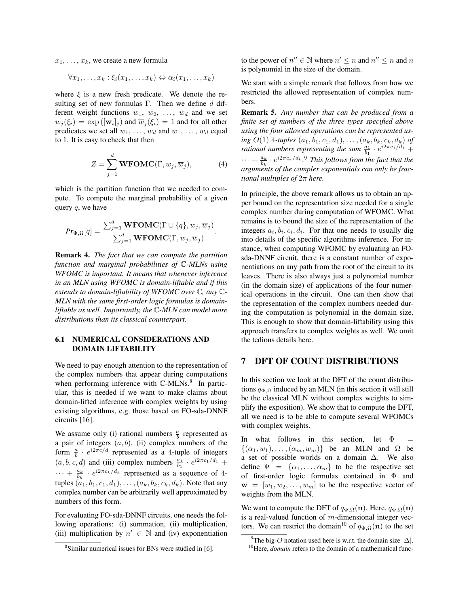$x_1, \ldots, x_k$ , we create a new formula

$$
\forall x_1, \ldots, x_k : \xi_i(x_1, \ldots, x_k) \Leftrightarrow \alpha_i(x_1, \ldots, x_k)
$$

where  $\xi$  is a new fresh predicate. We denote the resulting set of new formulas Γ. Then we define  $d$  different weight functions  $w_1, w_2, \ldots, w_d$  and we set  $w_j(\xi_i) = \exp([\mathbf{w}_i]_j)$  and  $\overline{w}_j(\xi_i) = 1$  and for all other predicates we set all  $w_1, \ldots, w_d$  and  $\overline{w}_1, \ldots, \overline{w}_d$  equal to 1. It is easy to check that then

$$
Z = \sum_{j=1}^{d} \mathbf{WFOMC}(\Gamma, w_j, \overline{w}_j), \tag{4}
$$

which is the partition function that we needed to compute. To compute the marginal probability of a given query  $q$ , we have

$$
Pr_{\Phi,\Omega}[q] = \frac{\sum_{j=1}^{d} \mathbf{WFOMC}(\Gamma \cup \{q\}, w_j, \overline{w}_j)}{\sum_{j=1}^{d} \mathbf{WFOMC}(\Gamma, w_j, \overline{w}_j)}.
$$

Remark 4. *The fact that we can compute the partition function and marginal probabilities of* C*-MLNs using WFOMC is important. It means that whenever inference in an MLN using WFOMC is domain-liftable and if this extends to domain-liftability of WFOMC over* C*, any* C*-MLN with the same first-order logic formulas is domainliftable as well. Importantly, the* C*-MLN can model more distributions than its classical counterpart.*

# 6.1 NUMERICAL CONSIDERATIONS AND DOMAIN LIFTABILITY

We need to pay enough attention to the representation of the complex numbers that appear during computations when performing inference with C-MLNs.<sup>8</sup> In particular, this is needed if we want to make claims about domain-lifted inference with complex weights by using existing algorithms, e.g. those based on FO-sda-DNNF circuits [16].

We assume only (i) rational numbers  $\frac{a}{b}$  represented as a pair of integers  $(a, b)$ , (ii) complex numbers of the form  $\frac{a}{b} \cdot e^{i2\pi c/d}$  represented as a 4-tuple of integers  $(a, b, c, d)$  and (iii) complex numbers  $\frac{a_1}{b_1} \cdot e^{i2\pi c_1/d_1}$  +  $\cdots + \frac{a_k}{b_k} \cdot e^{i2\pi c_k/d_k}$  represented as a sequence of 4tuples  $(a_1, b_1, c_1, d_1), \ldots, (a_k, b_k, c_k, d_k)$ . Note that any complex number can be arbitrarily well approximated by numbers of this form.

For evaluating FO-sda-DNNF circuits, one needs the following operations: (i) summation, (ii) multiplication, (iii) multiplication by  $n' \in \mathbb{N}$  and (iv) exponentiation

to the power of  $n'' \in \mathbb{N}$  where  $n' \leq n$  and  $n'' \leq n$  and  $n$ is polynomial in the size of the domain.

We start with a simple remark that follows from how we restricted the allowed representation of complex numbers.

Remark 5. *Any number that can be produced from a finite set of numbers of the three types specified above using the four allowed operations can be represented using*  $O(1)$  4*-tuples*  $(a_1, b_1, c_1, d_1), \ldots, (a_k, b_k, c_k, d_k)$  *of rational numbers representing the sum*  $\frac{a_1}{b_1} \cdot e^{i2\pi c_1/d_1} +$  $\cdots + \frac{a_k}{b_k} \cdot e^{i2\pi c_k/d_k}$ .<sup>9</sup> *This follows from the fact that the arguments of the complex exponentials can only be fractional multiples of* 2π *here.*

In principle, the above remark allows us to obtain an upper bound on the representation size needed for a single complex number during computation of WFOMC. What remains is to bound the size of the representation of the integers  $a_i, b_i, c_i, d_i$ . For that one needs to usually dig into details of the specific algorithms inference. For instance, when computing WFOMC by evaluating an FOsda-DNNF circuit, there is a constant number of exponentiations on any path from the root of the circuit to its leaves. There is also always just a polynomial number (in the domain size) of applications of the four numerical operations in the circuit. One can then show that the representation of the complex numbers needed during the computation is polynomial in the domain size. This is enough to show that domain-liftability using this approach transfers to complex weights as well. We omit the tedious details here.

# 7 DFT OF COUNT DISTRIBUTIONS

In this section we look at the DFT of the count distributions  $q_{\Phi,\Omega}$  induced by an MLN (in this section it will still be the classical MLN without complex weights to simplify the exposition). We show that to compute the DFT, all we need is to be able to compute several WFOMCs with complex weights.

In what follows in this section, let  $\Phi =$  $\{(\alpha_1, w_1), \ldots, (\alpha_m, w_m)\}\$  be an MLN and  $\Omega$  be a set of possible worlds on a domain ∆. We also define  $\Psi = {\alpha_1, \ldots, \alpha_m}$  to be the respective set of first-order logic formulas contained in Φ and  $\mathbf{w} = [w_1, w_2, \dots, w_m]$  to be the respective vector of weights from the MLN.

We want to compute the DFT of  $q_{\Phi,\Omega}(\mathbf{n})$ . Here,  $q_{\Phi,\Omega}(\mathbf{n})$ is a real-valued function of  $m$ -dimensional integer vectors. We can restrict the domain<sup>10</sup> of  $q_{\Phi,\Omega}(n)$  to the set

<sup>8</sup> Similar numerical issues for BNs were studied in [6].

<sup>&</sup>lt;sup>9</sup>The big-O notation used here is w.r.t. the domain size  $|\Delta|$ .

<sup>&</sup>lt;sup>10</sup>Here, *domain* refers to the domain of a mathematical func-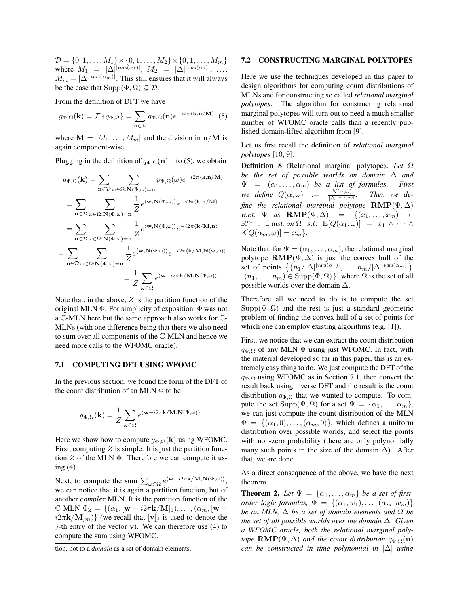$D = \{0, 1, \ldots, M_1\} \times \{0, 1, \ldots, M_2\} \times \{0, 1, \ldots, M_m\}$ where  $M_1 = |\Delta|^{|vars(\alpha_1)|}, M_2 = |\Delta|^{|vars(\alpha_2)|}, ...,$  $M_m = |\Delta|^{|vars(\alpha_m)|}$ . This still ensures that it will always be the case that  $\text{Supp}(\Phi, \Omega) \subseteq \mathcal{D}$ .

From the definition of DFT we have

$$
g_{\Phi,\Omega}(\mathbf{k}) = \mathcal{F}\left\{q_{\Phi,\Omega}\right\} = \sum_{\mathbf{n}\in\mathcal{D}} q_{\Phi,\Omega}(\mathbf{n})e^{-i2\pi\langle\mathbf{k},\mathbf{n}/\mathbf{M}\rangle} \tag{5}
$$

where  $\mathbf{M} = [M_1, \dots, M_m]$  and the division in  $\mathbf{n}/\mathbf{M}$  is again component-wise.

Plugging in the definition of  $q_{\Phi,\Omega}(\mathbf{n})$  into (5), we obtain

$$
g_{\Phi,\Omega}(\mathbf{k}) = \sum_{\mathbf{n}\in\mathcal{D}} \sum_{\omega\in\Omega:\mathbf{N}(\Phi,\omega)=\mathbf{n}} p_{\Phi,\Omega}(\omega) e^{-i2\pi\langle\mathbf{k},\mathbf{n}/\mathbf{M}\rangle}
$$
  
\n
$$
= \sum_{\mathbf{n}\in\mathcal{D}} \sum_{\omega\in\Omega:\mathbf{N}(\Phi,\omega)=\mathbf{n}} \frac{1}{Z} e^{\langle\mathbf{w},\mathbf{N}(\Phi,\omega)\rangle} e^{-i2\pi\langle\mathbf{k},\mathbf{n}/\mathbf{M}\rangle}
$$
  
\n
$$
= \sum_{\mathbf{n}\in\mathcal{D}} \sum_{\omega\in\Omega:\mathbf{N}(\Phi,\omega)=\mathbf{n}} \frac{1}{Z} e^{\langle\mathbf{w},\mathbf{N}(\Phi,\omega)\rangle} e^{-i2\pi\langle\mathbf{k}/\mathbf{M},\mathbf{n}\rangle}
$$
  
\n
$$
= \sum_{\mathbf{n}\in\mathcal{D}} \sum_{\omega\in\Omega:\mathbf{N}(\Phi,\omega)=\mathbf{n}} \frac{1}{Z} e^{\langle\mathbf{w},\mathbf{N}(\Phi,\omega)\rangle} e^{-i2\pi\langle\mathbf{k}/\mathbf{M},\mathbf{N}(\Phi,\omega)\rangle}
$$
  
\n
$$
= \frac{1}{Z} \sum_{\omega\in\Omega} e^{\langle\mathbf{w}-i2\pi\mathbf{k}/\mathbf{M},\mathbf{N}(\Phi,\omega)\rangle}.
$$

Note that, in the above,  $Z$  is the partition function of the original MLN Φ. For simplicity of exposition, Φ was not a C-MLN here but the same approach also works for C-MLNs (with one difference being that there we also need to sum over all components of the C-MLN and hence we need more calls to the WFOMC oracle).

#### 7.1 COMPUTING DFT USING WFOMC

In the previous section, we found the form of the DFT of the count distribution of an MLN Φ to be

$$
g_{\Phi,\Omega}(\mathbf{k}) = \frac{1}{Z} \sum_{\omega \in \Omega} e^{\langle \mathbf{w} - i2\pi \mathbf{k}/\mathbf{M}, \mathbf{N}(\Phi,\omega) \rangle}
$$

.

Here we show how to compute  $g_{\Phi,\Omega}(\mathbf{k})$  using WFOMC. First, computing  $Z$  is simple. It is just the partition function  $Z$  of the MLN  $\Phi$ . Therefore we can compute it using (4).

Next, to compute the sum  $\sum_{\omega \in \Omega} e^{\langle \mathbf{w} - i2\pi \mathbf{k}/\mathbf{M}, \mathbf{N}(\Phi, \omega) \rangle},$ we can notice that it is again a partition function, but of another *complex* MLN. It is the partition function of the C-MLN  $\Phi_{\mathbf{k}} = \{(\alpha_1, [\mathbf{w} - i2\pi \mathbf{k}/\mathbf{M}]_1), \dots, (\alpha_m, [\mathbf{w}$  $i2\pi k/M_{m}$ )} (we recall that  $[v]_j$  is used to denote the j-th entry of the vector **v**). We can therefore use (4) to compute the sum using WFOMC.

#### 7.2 CONSTRUCTING MARGINAL POLYTOPES

Here we use the techniques developed in this paper to design algorithms for computing count distributions of MLNs and for constructing so called *relational marginal polytopes*. The algorithm for constructing relational marginal polytopes will turn out to need a much smaller number of WFOMC oracle calls than a recently published domain-lifted algorithm from [9].

Let us first recall the definition of *relational marginal polytopes* [10, 9].

Definition 8 (Relational marginal polytope). *Let* Ω *be the set of possible worlds on domain* ∆ *and*  $= (\alpha_1, \ldots, \alpha_m)$  *be a list of formulas. First*  $we \ define \ Q(\alpha,\omega) \ \ := \ \ \frac{N(\alpha,\omega)}{|\Delta|^{\lfloor \text{vars}(\alpha) \rfloor}}$ *. Then we define the relational marginal polytope*  $\text{RMP}(\Psi, \Delta)$ *w.r.t.*  $\Psi$  *as*  $\mathbf{RMP}(\Psi, \Delta) = \{(x_1, \ldots, x_m) \in$  $\mathbb{R}^m$  :  $\exists$  dist. on  $\Omega$  s.t.  $\mathbb{E}[Q(\alpha_1,\omega)] = x_1 \wedge \cdots \wedge$  $\mathbb{E}[Q(\alpha_m,\omega)] = x_m$ .

Note that, for  $\Psi = (\alpha_1, \dots, \alpha_m)$ , the relational marginal polytope  $\text{RMP}(\Psi, \Delta)$  is just the convex hull of the set of points  $\{(n_1/|\Delta|^{|vars(\alpha_1)|}, \ldots, n_m/|\Delta|^{|vars(\alpha_m)|})\}$  $|(n_1, \ldots, n_m) \in \text{Supp}(\Phi, \Omega) \}$ . where  $\Omega$  is the set of all possible worlds over the domain  $\Delta$ .

Therefore all we need to do is to compute the set  $Supp(\Psi, \Omega)$  and the rest is just a standard geometric problem of finding the convex hull of a set of points for which one can employ existing algorithms (e.g. [1]).

First, we notice that we can extract the count distribution  $q_{\Phi,\Omega}$  of any MLN  $\Phi$  using just WFOMC. In fact, with the material developed so far in this paper, this is an extremely easy thing to do. We just compute the DFT of the  $q_{\Phi,\Omega}$  using WFOMC as in Section 7.1, then convert the result back using inverse DFT and the result is the count distribution  $q_{\Phi,\Omega}$  that we wanted to compute. To compute the set  $\text{Supp}(\Psi,\Omega)$  for a set  $\Psi = {\alpha_1,\ldots,\alpha_m}$ , we can just compute the count distribution of the MLN  $\Phi = \{(\alpha_1, 0), \ldots, (\alpha_m, 0)\},$  which defines a uniform distribution over possible worlds, and select the points with non-zero probability (there are only polynomially many such points in the size of the domain  $\Delta$ ). After that, we are done.

As a direct consequence of the above, we have the next theorem.

**Theorem 2.** Let  $\Psi = {\alpha_1, \ldots, \alpha_m}$  be a set of first*order logic formulas,*  $\Phi = \{(\alpha_1, w_1), \ldots, (\alpha_m, w_m)\}\$ *be an MLN,* ∆ *be a set of domain elements and* Ω *be the set of all possible worlds over the domain* ∆*. Given a WFOMC oracle, both the relational marginal polytope*  $\text{RMP}(\Psi, \Delta)$  *and the count distribution*  $q_{\Phi, \Omega}(n)$ *can be constructed in time polynomial in* |∆| *using*

tion, not to a *domain* as a set of domain elements.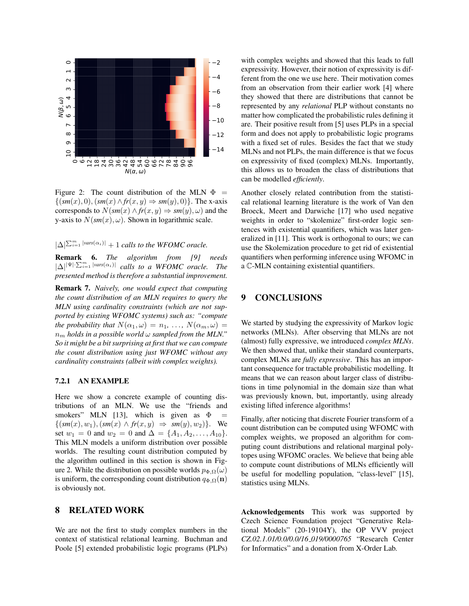

Figure 2: The count distribution of the MLN  $\Phi =$  $\{(sm(x), 0), (sm(x) \wedge fr(x, y) \Rightarrow sm(y), 0)\}.$  The x-axis corresponds to  $N(sm(x) \land fr(x, y) \Rightarrow sm(y), \omega)$  and the y-axis to  $N(sm(x), \omega)$ . Shown in logarithmic scale.

 $|\Delta|^{\sum_{i=1}^m |vars(\alpha_i)|} + 1$  *calls to the WFOMC oracle.* 

Remark 6. *The algorithm from [9] needs*  $|\Delta|^{| \Psi | \cdot \sum_{i=1}^m |vars(\alpha_i)|}$  calls to a WFOMC oracle. The *presented method is therefore a substantial improvement.*

Remark 7. *Naively, one would expect that computing the count distribution of an MLN requires to query the MLN using cardinality constraints (which are not supported by existing WFOMC systems) such as: "compute the probability that*  $N(\alpha_1, \omega) = n_1, \ldots, N(\alpha_m, \omega) =$  $n_m$  *holds in a possible world*  $\omega$  *sampled from the MLN.*" *So it might be a bit surprising at first that we can compute the count distribution using just WFOMC without any cardinality constraints (albeit with complex weights).*

### 7.2.1 AN EXAMPLE

Here we show a concrete example of counting distributions of an MLN. We use the "friends and smokers" MLN [13], which is given as  $\Phi =$  $\{(sm(x), w_1), (sm(x) \wedge fr(x, y) \Rightarrow sm(y), w_2)\}.$  We set  $w_1 = 0$  and  $w_2 = 0$  and  $\Delta = \{A_1, A_2, \ldots, A_{10}\}.$ This MLN models a uniform distribution over possible worlds. The resulting count distribution computed by the algorithm outlined in this section is shown in Figure 2. While the distribution on possible worlds  $p_{\Phi,\Omega}(\omega)$ is uniform, the corresponding count distribution  $q_{\Phi,\Omega}(\mathbf{n})$ is obviously not.

# 8 RELATED WORK

We are not the first to study complex numbers in the context of statistical relational learning. Buchman and Poole [5] extended probabilistic logic programs (PLPs) with complex weights and showed that this leads to full expressivity. However, their notion of expressivity is different from the one we use here. Their motivation comes from an observation from their earlier work [4] where they showed that there are distributions that cannot be represented by any *relational* PLP without constants no matter how complicated the probabilistic rules defining it are. Their positive result from [5] uses PLPs in a special form and does not apply to probabilistic logic programs with a fixed set of rules. Besides the fact that we study MLNs and not PLPs, the main difference is that we focus on expressivity of fixed (complex) MLNs. Importantly, this allows us to broaden the class of distributions that can be modelled *efficiently*.

Another closely related contribution from the statistical relational learning literature is the work of Van den Broeck, Meert and Darwiche [17] who used negative weights in order to "skolemize" first-order logic sentences with existential quantifiers, which was later generalized in [11]. This work is orthogonal to ours; we can use the Skolemization procedure to get rid of existential quantifiers when performing inference using WFOMC in a C-MLN containing existential quantifiers.

# 9 CONCLUSIONS

We started by studying the expressivity of Markov logic networks (MLNs). After observing that MLNs are not (almost) fully expressive, we introduced *complex MLNs*. We then showed that, unlike their standard counterparts, complex MLNs are *fully expressive*. This has an important consequence for tractable probabilistic modelling. It means that we can reason about larger class of distributions in time polynomial in the domain size than what was previously known, but, importantly, using already existing lifted inference algorithms!

Finally, after noticing that discrete Fourier transform of a count distribution can be computed using WFOMC with complex weights, we proposed an algorithm for computing count distributions and relational marginal polytopes using WFOMC oracles. We believe that being able to compute count distributions of MLNs efficiently will be useful for modelling population, "class-level" [15], statistics using MLNs.

Acknowledgements This work was supported by Czech Science Foundation project "Generative Relational Models" (20-19104Y), the OP VVV project *CZ.02.1.01/0.0/0.0/16 019/0000765* "Research Center for Informatics" and a donation from X-Order Lab.